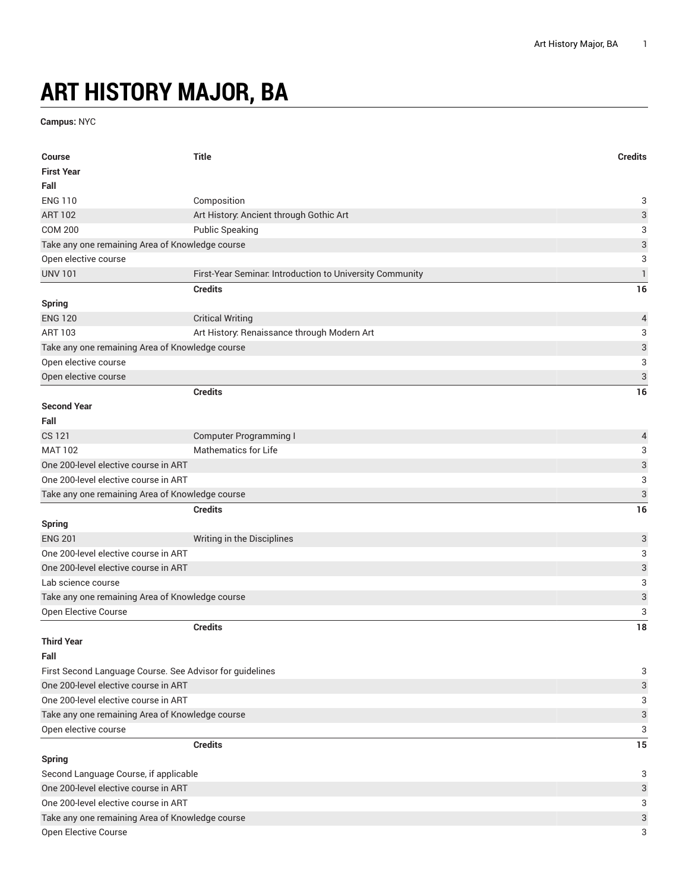## **ART HISTORY MAJOR, BA**

**Campus:** NYC

| Course                                                   | <b>Title</b>                                             | <b>Credits</b>            |
|----------------------------------------------------------|----------------------------------------------------------|---------------------------|
| <b>First Year</b>                                        |                                                          |                           |
| Fall                                                     |                                                          |                           |
| <b>ENG 110</b>                                           | Composition                                              | 3                         |
| <b>ART 102</b>                                           | Art History: Ancient through Gothic Art                  | $\ensuremath{\mathsf{3}}$ |
| <b>COM 200</b>                                           | <b>Public Speaking</b>                                   | 3                         |
| Take any one remaining Area of Knowledge course          |                                                          | 3                         |
| Open elective course                                     |                                                          | 3                         |
| <b>UNV 101</b>                                           | First-Year Seminar. Introduction to University Community | $\mathbf{1}$              |
|                                                          | <b>Credits</b>                                           | 16                        |
| <b>Spring</b>                                            |                                                          |                           |
| <b>ENG 120</b>                                           | <b>Critical Writing</b>                                  | 4                         |
| <b>ART 103</b>                                           | Art History: Renaissance through Modern Art              | 3                         |
| Take any one remaining Area of Knowledge course          |                                                          | $\ensuremath{\mathsf{3}}$ |
| Open elective course                                     |                                                          | 3                         |
| Open elective course                                     |                                                          | $\sqrt{3}$                |
|                                                          | <b>Credits</b>                                           | 16                        |
| <b>Second Year</b>                                       |                                                          |                           |
| Fall                                                     |                                                          |                           |
| <b>CS 121</b>                                            | <b>Computer Programming I</b>                            | 4                         |
| <b>MAT 102</b>                                           | <b>Mathematics for Life</b>                              | 3                         |
| One 200-level elective course in ART                     |                                                          | $\ensuremath{\mathsf{3}}$ |
| One 200-level elective course in ART                     |                                                          | 3                         |
| Take any one remaining Area of Knowledge course          |                                                          | $\ensuremath{\mathsf{3}}$ |
|                                                          | <b>Credits</b>                                           | 16                        |
| <b>Spring</b>                                            |                                                          |                           |
| <b>ENG 201</b>                                           | Writing in the Disciplines                               | $\sqrt{3}$                |
| One 200-level elective course in ART                     |                                                          | 3                         |
| One 200-level elective course in ART                     |                                                          | 3                         |
| Lab science course                                       |                                                          | 3                         |
| Take any one remaining Area of Knowledge course          |                                                          | $\ensuremath{\mathsf{3}}$ |
| Open Elective Course                                     |                                                          | 3                         |
|                                                          | <b>Credits</b>                                           | 18                        |
| <b>Third Year</b>                                        |                                                          |                           |
| Fall                                                     |                                                          | 3                         |
| First Second Language Course. See Advisor for guidelines |                                                          |                           |
| One 200-level elective course in ART                     |                                                          | $\ensuremath{\mathsf{3}}$ |
| One 200-level elective course in ART                     |                                                          | 3                         |
| Take any one remaining Area of Knowledge course          |                                                          | $\ensuremath{\mathsf{3}}$ |
| Open elective course                                     |                                                          | 3                         |
|                                                          | <b>Credits</b>                                           | 15                        |
| <b>Spring</b>                                            |                                                          | 3                         |
| Second Language Course, if applicable                    |                                                          |                           |
| One 200-level elective course in ART                     |                                                          |                           |
| One 200-level elective course in ART                     |                                                          |                           |
| Take any one remaining Area of Knowledge course          |                                                          |                           |
| Open Elective Course                                     |                                                          | 3                         |